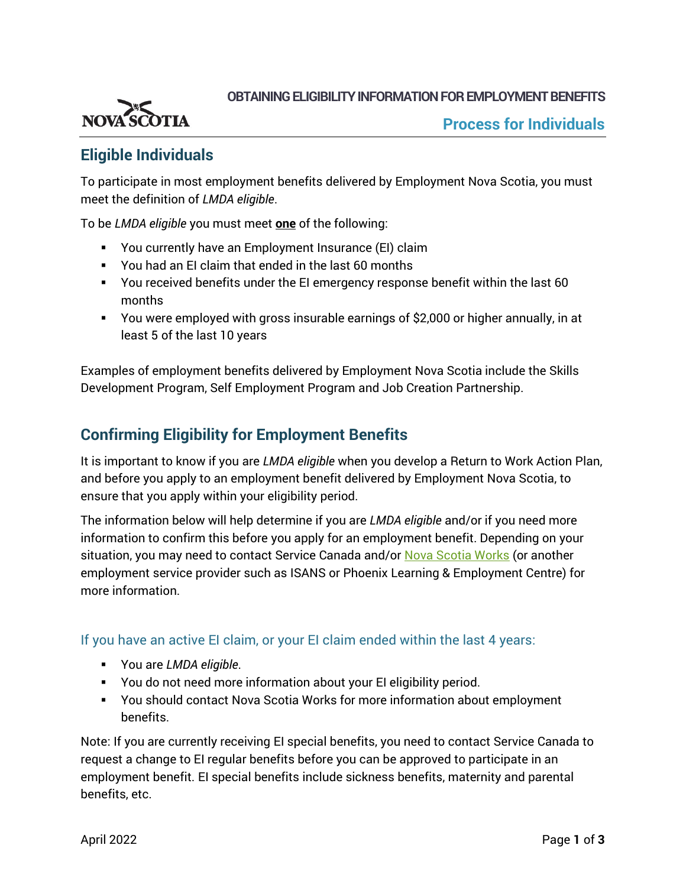

**OBTAINING ELIGIBILITY INFORMATIONFOR EMPLOYMENT BENEFITS**

## **Eligible Individuals**

To participate in most employment benefits delivered by Employment Nova Scotia, you must meet the definition of *LMDA eligible*.

To be *LMDA eligible* you must meet **one** of the following:

- You currently have an Employment Insurance (EI) claim
- You had an EI claim that ended in the last 60 months
- You received benefits under the EI emergency response benefit within the last 60 months
- You were employed with gross insurable earnings of \$2,000 or higher annually, in at least 5 of the last 10 years

Examples of employment benefits delivered by Employment Nova Scotia include the Skills Development Program, Self Employment Program and Job Creation Partnership.

## **Confirming Eligibility for Employment Benefits**

It is important to know if you are *LMDA eligible* when you develop a Return to Work Action Plan, and before you apply to an employment benefit delivered by Employment Nova Scotia, to ensure that you apply within your eligibility period.

The information below will help determine if you are *LMDA eligible* and/or if you need more information to confirm this before you apply for an employment benefit. Depending on your situation, you may need to contact Service Canada and/or [Nova Scotia Works](https://novascotiaworks.ca/nsdc/contact-us) (or another employment service provider such as ISANS or Phoenix Learning & Employment Centre) for more information.

If you have an active EI claim, or your EI claim ended within the last 4 years:

- You are *LMDA eligible*.
- You do not need more information about your EI eligibility period.
- You should contact Nova Scotia Works for more information about employment benefits.

Note: If you are currently receiving EI special benefits, you need to contact Service Canada to request a change to EI regular benefits before you can be approved to participate in an employment benefit. EI special benefits include sickness benefits, maternity and parental benefits, etc.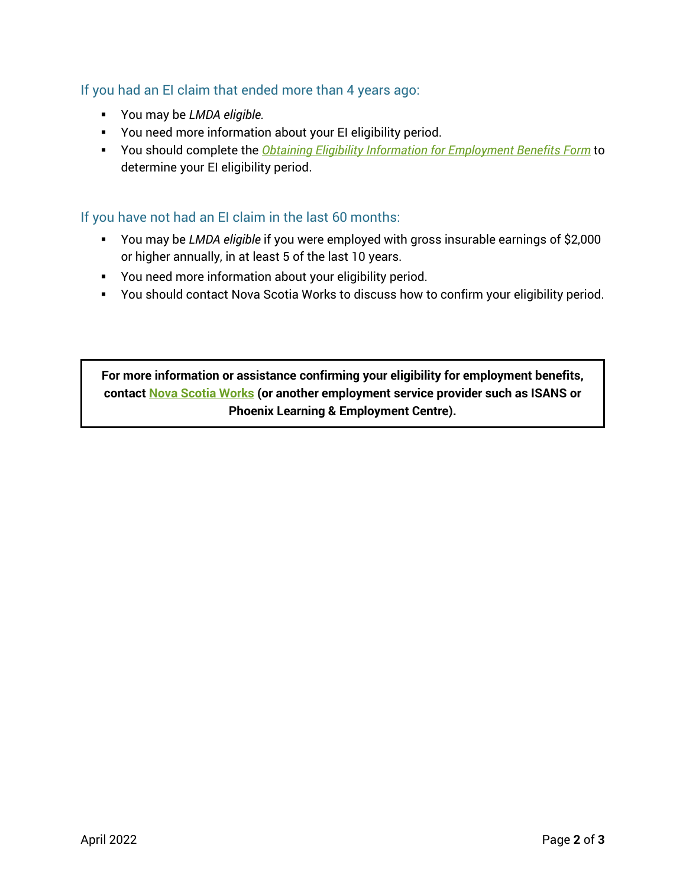## If you had an EI claim that ended more than 4 years ago:

- You may be *LMDA eligible.*
- You need more information about your EI eligibility period.
- You should complete the *[Obtaining Eligibility Information for Employment Benefits Form](#page-2-0)* to determine your EI eligibility period.

If you have not had an EI claim in the last 60 months:

- You may be *LMDA eligible* if you were employed with gross insurable earnings of \$2,000 or higher annually, in at least 5 of the last 10 years.
- You need more information about your eligibility period.
- You should contact Nova Scotia Works to discuss how to confirm your eligibility period.

**For more information or assistance confirming your eligibility for employment benefits, contact [Nova Scotia Works](https://novascotiaworks.ca/nsdc/contact-us) (or another employment service provider such as ISANS or Phoenix Learning & Employment Centre).**